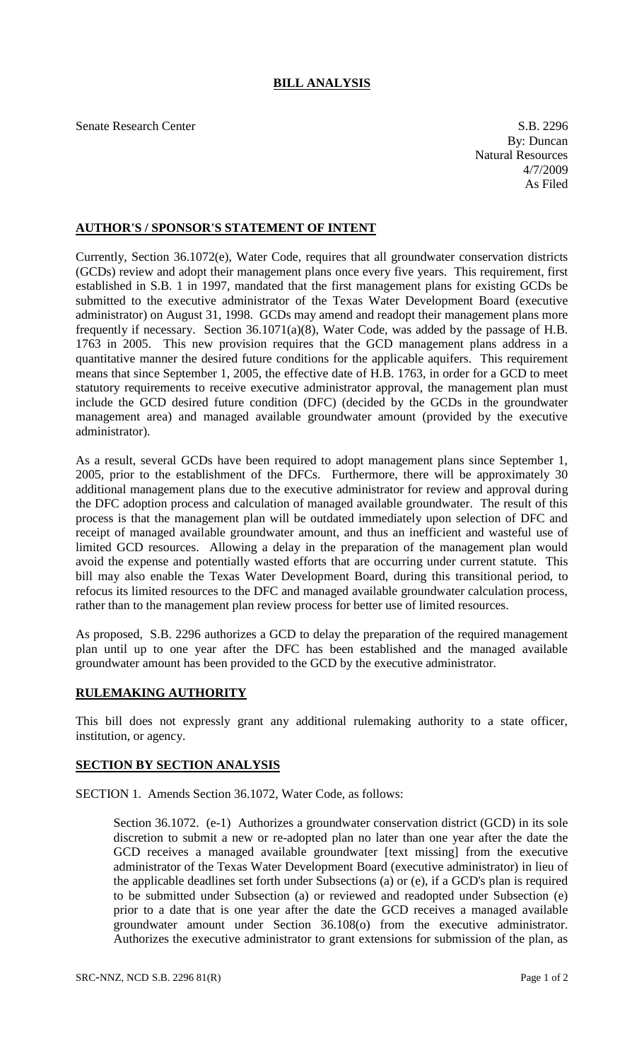## **BILL ANALYSIS**

Senate Research Center S.B. 2296

By: Duncan Natural Resources 4/7/2009 As Filed

## **AUTHOR'S / SPONSOR'S STATEMENT OF INTENT**

Currently, Section 36.1072(e), Water Code, requires that all groundwater conservation districts (GCDs) review and adopt their management plans once every five years. This requirement, first established in S.B. 1 in 1997, mandated that the first management plans for existing GCDs be submitted to the executive administrator of the Texas Water Development Board (executive administrator) on August 31, 1998. GCDs may amend and readopt their management plans more frequently if necessary. Section 36.1071(a)(8), Water Code, was added by the passage of H.B. 1763 in 2005. This new provision requires that the GCD management plans address in a quantitative manner the desired future conditions for the applicable aquifers. This requirement means that since September 1, 2005, the effective date of H.B. 1763, in order for a GCD to meet statutory requirements to receive executive administrator approval, the management plan must include the GCD desired future condition (DFC) (decided by the GCDs in the groundwater management area) and managed available groundwater amount (provided by the executive administrator).

As a result, several GCDs have been required to adopt management plans since September 1, 2005, prior to the establishment of the DFCs. Furthermore, there will be approximately 30 additional management plans due to the executive administrator for review and approval during the DFC adoption process and calculation of managed available groundwater. The result of this process is that the management plan will be outdated immediately upon selection of DFC and receipt of managed available groundwater amount, and thus an inefficient and wasteful use of limited GCD resources. Allowing a delay in the preparation of the management plan would avoid the expense and potentially wasted efforts that are occurring under current statute. This bill may also enable the Texas Water Development Board, during this transitional period, to refocus its limited resources to the DFC and managed available groundwater calculation process, rather than to the management plan review process for better use of limited resources.

As proposed, S.B. 2296 authorizes a GCD to delay the preparation of the required management plan until up to one year after the DFC has been established and the managed available groundwater amount has been provided to the GCD by the executive administrator.

## **RULEMAKING AUTHORITY**

This bill does not expressly grant any additional rulemaking authority to a state officer, institution, or agency.

## **SECTION BY SECTION ANALYSIS**

SECTION 1. Amends Section 36.1072, Water Code, as follows:

Section 36.1072. (e-1) Authorizes a groundwater conservation district (GCD) in its sole discretion to submit a new or re-adopted plan no later than one year after the date the GCD receives a managed available groundwater [text missing] from the executive administrator of the Texas Water Development Board (executive administrator) in lieu of the applicable deadlines set forth under Subsections (a) or (e), if a GCD's plan is required to be submitted under Subsection (a) or reviewed and readopted under Subsection (e) prior to a date that is one year after the date the GCD receives a managed available groundwater amount under Section 36.108(o) from the executive administrator. Authorizes the executive administrator to grant extensions for submission of the plan, as